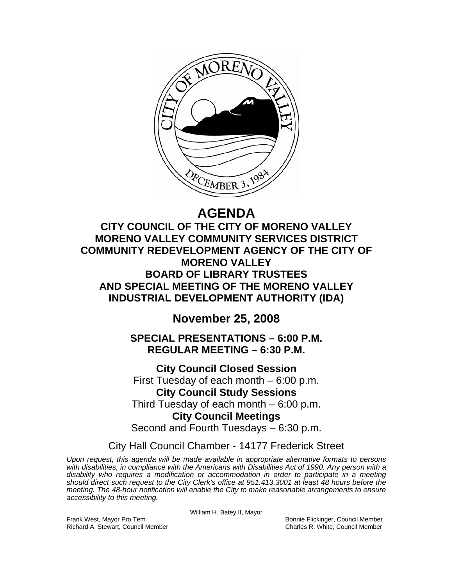

# **AGENDA**

**CITY COUNCIL OF THE CITY OF MORENO VALLEY MORENO VALLEY COMMUNITY SERVICES DISTRICT COMMUNITY REDEVELOPMENT AGENCY OF THE CITY OF MORENO VALLEY BOARD OF LIBRARY TRUSTEES AND SPECIAL MEETING OF THE MORENO VALLEY INDUSTRIAL DEVELOPMENT AUTHORITY (IDA)** 

**November 25, 2008** 

**SPECIAL PRESENTATIONS – 6:00 P.M. REGULAR MEETING – 6:30 P.M.** 

**City Council Closed Session**  First Tuesday of each month – 6:00 p.m. **City Council Study Sessions**  Third Tuesday of each month – 6:00 p.m. **City Council Meetings**  Second and Fourth Tuesdays – 6:30 p.m.

City Hall Council Chamber - 14177 Frederick Street

*Upon request, this agenda will be made available in appropriate alternative formats to persons with disabilities, in compliance with the Americans with Disabilities Act of 1990. Any person with a disability who requires a modification or accommodation in order to participate in a meeting should direct such request to the City Clerk's office at 951.413.3001 at least 48 hours before the meeting. The 48-hour notification will enable the City to make reasonable arrangements to ensure accessibility to this meeting.* 

William H. Batey II, Mayor

Frank West, Mayor Pro Tem Bonnie Flickinger, Council Member Richard A. Stewart, Council Member Charles R. White, Council Member Charles R. White, Council Member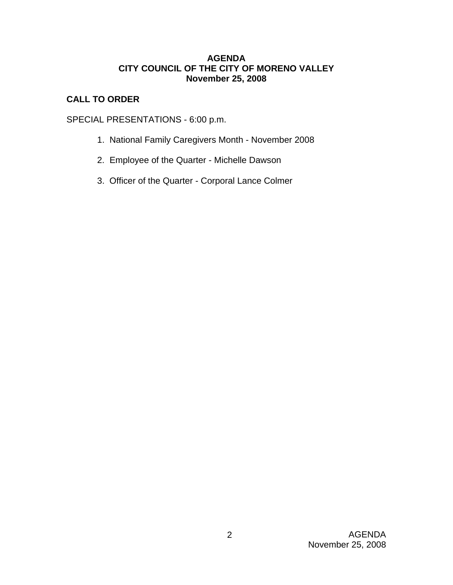# **AGENDA CITY COUNCIL OF THE CITY OF MORENO VALLEY November 25, 2008**

# **CALL TO ORDER**

SPECIAL PRESENTATIONS - 6:00 p.m.

- 1. National Family Caregivers Month November 2008
- 2. Employee of the Quarter Michelle Dawson
- 3. Officer of the Quarter Corporal Lance Colmer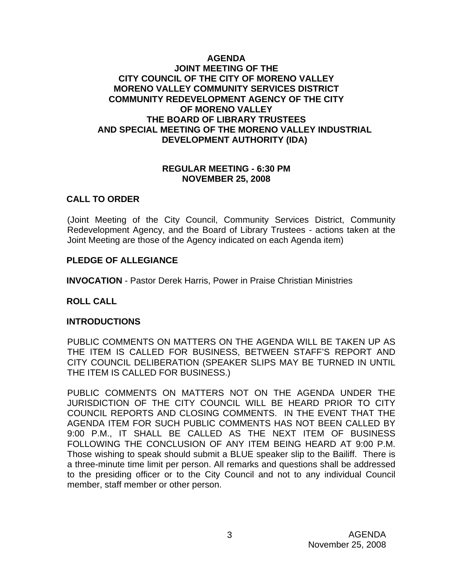# **AGENDA JOINT MEETING OF THE CITY COUNCIL OF THE CITY OF MORENO VALLEY MORENO VALLEY COMMUNITY SERVICES DISTRICT COMMUNITY REDEVELOPMENT AGENCY OF THE CITY OF MORENO VALLEY THE BOARD OF LIBRARY TRUSTEES AND SPECIAL MEETING OF THE MORENO VALLEY INDUSTRIAL DEVELOPMENT AUTHORITY (IDA)**

### **REGULAR MEETING - 6:30 PM NOVEMBER 25, 2008**

# **CALL TO ORDER**

(Joint Meeting of the City Council, Community Services District, Community Redevelopment Agency, and the Board of Library Trustees - actions taken at the Joint Meeting are those of the Agency indicated on each Agenda item)

# **PLEDGE OF ALLEGIANCE**

**INVOCATION** - Pastor Derek Harris, Power in Praise Christian Ministries

# **ROLL CALL**

# **INTRODUCTIONS**

PUBLIC COMMENTS ON MATTERS ON THE AGENDA WILL BE TAKEN UP AS THE ITEM IS CALLED FOR BUSINESS, BETWEEN STAFF'S REPORT AND CITY COUNCIL DELIBERATION (SPEAKER SLIPS MAY BE TURNED IN UNTIL THE ITEM IS CALLED FOR BUSINESS.)

PUBLIC COMMENTS ON MATTERS NOT ON THE AGENDA UNDER THE JURISDICTION OF THE CITY COUNCIL WILL BE HEARD PRIOR TO CITY COUNCIL REPORTS AND CLOSING COMMENTS. IN THE EVENT THAT THE AGENDA ITEM FOR SUCH PUBLIC COMMENTS HAS NOT BEEN CALLED BY 9:00 P.M., IT SHALL BE CALLED AS THE NEXT ITEM OF BUSINESS FOLLOWING THE CONCLUSION OF ANY ITEM BEING HEARD AT 9:00 P.M. Those wishing to speak should submit a BLUE speaker slip to the Bailiff. There is a three-minute time limit per person. All remarks and questions shall be addressed to the presiding officer or to the City Council and not to any individual Council member, staff member or other person.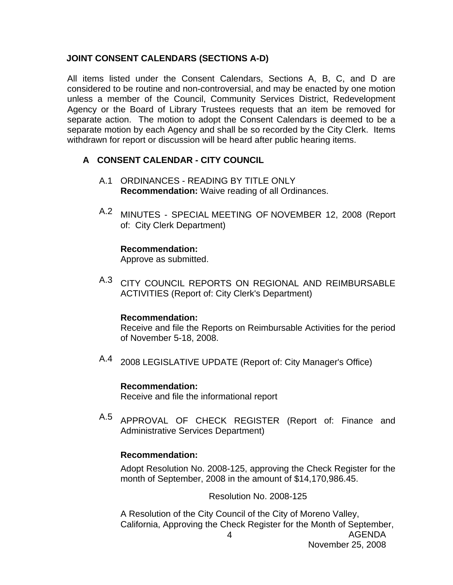# **JOINT CONSENT CALENDARS (SECTIONS A-D)**

All items listed under the Consent Calendars, Sections A, B, C, and D are considered to be routine and non-controversial, and may be enacted by one motion unless a member of the Council, Community Services District, Redevelopment Agency or the Board of Library Trustees requests that an item be removed for separate action. The motion to adopt the Consent Calendars is deemed to be a separate motion by each Agency and shall be so recorded by the City Clerk. Items withdrawn for report or discussion will be heard after public hearing items.

# **A CONSENT CALENDAR - CITY COUNCIL**

- A.1 ORDINANCES READING BY TITLE ONLY **Recommendation:** Waive reading of all Ordinances.
- A.2 MINUTES SPECIAL MEETING OF NOVEMBER 12, 2008 (Report of: City Clerk Department)

### **Recommendation:**

Approve as submitted.

A.3 CITY COUNCIL REPORTS ON REGIONAL AND REIMBURSABLE ACTIVITIES (Report of: City Clerk's Department)

#### **Recommendation:**

Receive and file the Reports on Reimbursable Activities for the period of November 5-18, 2008.

A.4 2008 LEGISLATIVE UPDATE (Report of: City Manager's Office)

# **Recommendation:**

Receive and file the informational report

A.5 APPROVAL OF CHECK REGISTER (Report of: Finance and Administrative Services Department)

# **Recommendation:**

Adopt Resolution No. 2008-125, approving the Check Register for the month of September, 2008 in the amount of \$14,170,986.45.

Resolution No. 2008-125

AGENDA A Resolution of the City Council of the City of Moreno Valley, California, Approving the Check Register for the Month of September,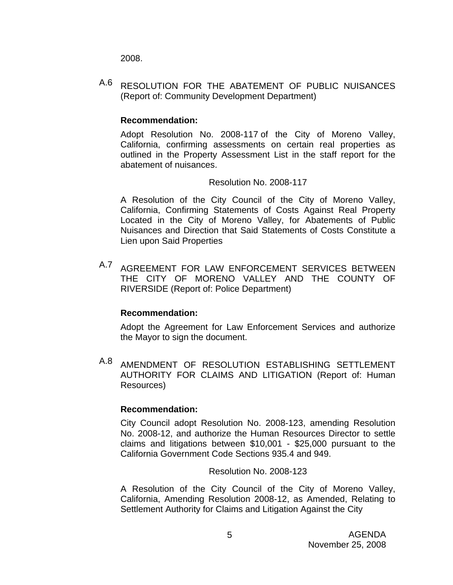2008.

A.6 RESOLUTION FOR THE ABATEMENT OF PUBLIC NUISANCES (Report of: Community Development Department)

# **Recommendation:**

Adopt Resolution No. 2008-117 of the City of Moreno Valley, California, confirming assessments on certain real properties as outlined in the Property Assessment List in the staff report for the abatement of nuisances.

# Resolution No. 2008-117

A Resolution of the City Council of the City of Moreno Valley, California, Confirming Statements of Costs Against Real Property Located in the City of Moreno Valley, for Abatements of Public Nuisances and Direction that Said Statements of Costs Constitute a Lien upon Said Properties

A.7 AGREEMENT FOR LAW ENFORCEMENT SERVICES BETWEEN THE CITY OF MORENO VALLEY AND THE COUNTY OF RIVERSIDE (Report of: Police Department)

# **Recommendation:**

Adopt the Agreement for Law Enforcement Services and authorize the Mayor to sign the document.

A.8 AMENDMENT OF RESOLUTION ESTABLISHING SETTLEMENT AUTHORITY FOR CLAIMS AND LITIGATION (Report of: Human Resources)

# **Recommendation:**

City Council adopt Resolution No. 2008-123, amending Resolution No. 2008-12, and authorize the Human Resources Director to settle claims and litigations between \$10,001 - \$25,000 pursuant to the California Government Code Sections 935.4 and 949.

Resolution No. 2008-123

A Resolution of the City Council of the City of Moreno Valley, California, Amending Resolution 2008-12, as Amended, Relating to Settlement Authority for Claims and Litigation Against the City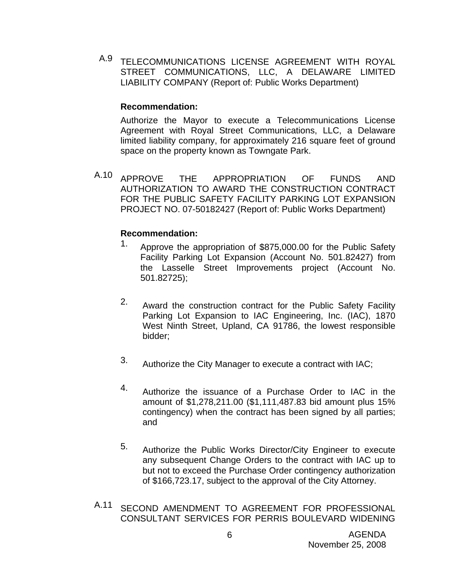A.9 TELECOMMUNICATIONS LICENSE AGREEMENT WITH ROYAL STREET COMMUNICATIONS, LLC, A DELAWARE LIMITED LIABILITY COMPANY (Report of: Public Works Department)

### **Recommendation:**

Authorize the Mayor to execute a Telecommunications License Agreement with Royal Street Communications, LLC, a Delaware limited liability company, for approximately 216 square feet of ground space on the property known as Towngate Park.

A.10 APPROVE THE APPROPRIATION OF FUNDS AND AUTHORIZATION TO AWARD THE CONSTRUCTION CONTRACT FOR THE PUBLIC SAFETY FACILITY PARKING LOT EXPANSION PROJECT NO. 07-50182427 (Report of: Public Works Department)

### **Recommendation:**

- 1. Approve the appropriation of \$875,000.00 for the Public Safety Facility Parking Lot Expansion (Account No. 501.82427) from the Lasselle Street Improvements project (Account No. 501.82725);
- 2. Award the construction contract for the Public Safety Facility Parking Lot Expansion to IAC Engineering, Inc. (IAC), 1870 West Ninth Street, Upland, CA 91786, the lowest responsible bidder;
- 3. Authorize the City Manager to execute a contract with IAC;
- 4. Authorize the issuance of a Purchase Order to IAC in the amount of \$1,278,211.00 (\$1,111,487.83 bid amount plus 15% contingency) when the contract has been signed by all parties; and
- 5. Authorize the Public Works Director/City Engineer to execute any subsequent Change Orders to the contract with IAC up to but not to exceed the Purchase Order contingency authorization of \$166,723.17, subject to the approval of the City Attorney.
- A.11 SECOND AMENDMENT TO AGREEMENT FOR PROFESSIONAL CONSULTANT SERVICES FOR PERRIS BOULEVARD WIDENING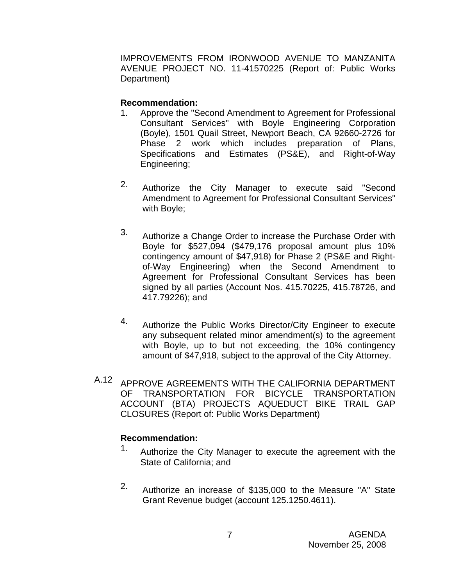IMPROVEMENTS FROM IRONWOOD AVENUE TO MANZANITA AVENUE PROJECT NO. 11-41570225 (Report of: Public Works Department)

# **Recommendation:**

- 1. Approve the "Second Amendment to Agreement for Professional Consultant Services" with Boyle Engineering Corporation (Boyle), 1501 Quail Street, Newport Beach, CA 92660-2726 for Phase 2 work which includes preparation of Plans, Specifications and Estimates (PS&E), and Right-of-Way Engineering;
- 2. Authorize the City Manager to execute said "Second Amendment to Agreement for Professional Consultant Services" with Boyle;
- 3. Authorize a Change Order to increase the Purchase Order with Boyle for \$527,094 (\$479,176 proposal amount plus 10% contingency amount of \$47,918) for Phase 2 (PS&E and Rightof-Way Engineering) when the Second Amendment to Agreement for Professional Consultant Services has been signed by all parties (Account Nos. 415.70225, 415.78726, and 417.79226); and
- 4. Authorize the Public Works Director/City Engineer to execute any subsequent related minor amendment(s) to the agreement with Boyle, up to but not exceeding, the 10% contingency amount of \$47,918, subject to the approval of the City Attorney.
- A.12 APPROVE AGREEMENTS WITH THE CALIFORNIA DEPARTMENT OF TRANSPORTATION FOR BICYCLE TRANSPORTATION ACCOUNT (BTA) PROJECTS AQUEDUCT BIKE TRAIL GAP CLOSURES (Report of: Public Works Department)

# **Recommendation:**

- 1. Authorize the City Manager to execute the agreement with the State of California; and
- 2. Authorize an increase of \$135,000 to the Measure "A" State Grant Revenue budget (account 125.1250.4611).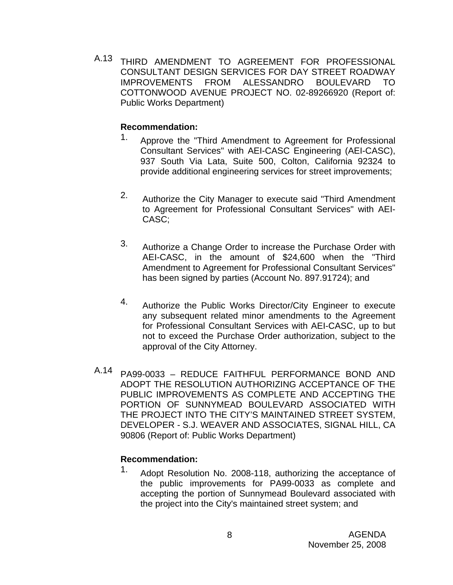A.13 THIRD AMENDMENT TO AGREEMENT FOR PROFESSIONAL CONSULTANT DESIGN SERVICES FOR DAY STREET ROADWAY IMPROVEMENTS FROM ALESSANDRO BOULEVARD TO COTTONWOOD AVENUE PROJECT NO. 02-89266920 (Report of: Public Works Department)

# **Recommendation:**

- 1. Approve the "Third Amendment to Agreement for Professional Consultant Services" with AEI-CASC Engineering (AEI-CASC), 937 South Via Lata, Suite 500, Colton, California 92324 to provide additional engineering services for street improvements;
- 2. Authorize the City Manager to execute said "Third Amendment to Agreement for Professional Consultant Services" with AEI-CASC;
- 3. Authorize a Change Order to increase the Purchase Order with AEI-CASC, in the amount of \$24,600 when the "Third Amendment to Agreement for Professional Consultant Services" has been signed by parties (Account No. 897.91724); and
- 4. Authorize the Public Works Director/City Engineer to execute any subsequent related minor amendments to the Agreement for Professional Consultant Services with AEI-CASC, up to but not to exceed the Purchase Order authorization, subject to the approval of the City Attorney.
- A.14 PA99-0033 REDUCE FAITHFUL PERFORMANCE BOND AND ADOPT THE RESOLUTION AUTHORIZING ACCEPTANCE OF THE PUBLIC IMPROVEMENTS AS COMPLETE AND ACCEPTING THE PORTION OF SUNNYMEAD BOULEVARD ASSOCIATED WITH THE PROJECT INTO THE CITY'S MAINTAINED STREET SYSTEM, DEVELOPER - S.J. WEAVER AND ASSOCIATES, SIGNAL HILL, CA 90806 (Report of: Public Works Department)

# **Recommendation:**

1. Adopt Resolution No. 2008-118, authorizing the acceptance of the public improvements for PA99-0033 as complete and accepting the portion of Sunnymead Boulevard associated with the project into the City's maintained street system; and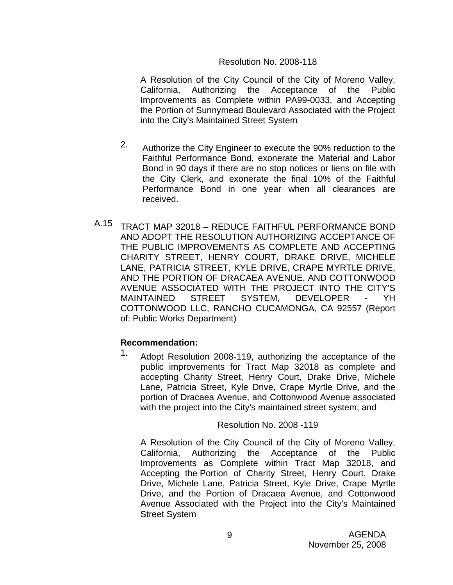# Resolution No. 2008-118

A Resolution of the City Council of the City of Moreno Valley, California, Authorizing the Acceptance of the Public Improvements as Complete within PA99-0033, and Accepting the Portion of Sunnymead Boulevard Associated with the Project into the City's Maintained Street System

- 2. Authorize the City Engineer to execute the 90% reduction to the Faithful Performance Bond, exonerate the Material and Labor Bond in 90 days if there are no stop notices or liens on file with the City Clerk, and exonerate the final 10% of the Faithful Performance Bond in one year when all clearances are received.
- A.15 TRACT MAP 32018 REDUCE FAITHFUL PERFORMANCE BOND AND ADOPT THE RESOLUTION AUTHORIZING ACCEPTANCE OF THE PUBLIC IMPROVEMENTS AS COMPLETE AND ACCEPTING CHARITY STREET, HENRY COURT, DRAKE DRIVE, MICHELE LANE, PATRICIA STREET, KYLE DRIVE, CRAPE MYRTLE DRIVE, AND THE PORTION OF DRACAEA AVENUE, AND COTTONWOOD AVENUE ASSOCIATED WITH THE PROJECT INTO THE CITY'S MAINTAINED STREET SYSTEM, DEVELOPER - YH COTTONWOOD LLC, RANCHO CUCAMONGA, CA 92557 (Report of: Public Works Department)

# **Recommendation:**

1. Adopt Resolution 2008-119, authorizing the acceptance of the public improvements for Tract Map 32018 as complete and accepting Charity Street, Henry Court, Drake Drive, Michele Lane, Patricia Street, Kyle Drive, Crape Myrtle Drive, and the portion of Dracaea Avenue, and Cottonwood Avenue associated with the project into the City's maintained street system; and

Resolution No. 2008 -119

A Resolution of the City Council of the City of Moreno Valley, California, Authorizing the Acceptance of the Public Improvements as Complete within Tract Map 32018, and Accepting the Portion of Charity Street, Henry Court, Drake Drive, Michele Lane, Patricia Street, Kyle Drive, Crape Myrtle Drive, and the Portion of Dracaea Avenue, and Cottonwood Avenue Associated with the Project into the City's Maintained Street System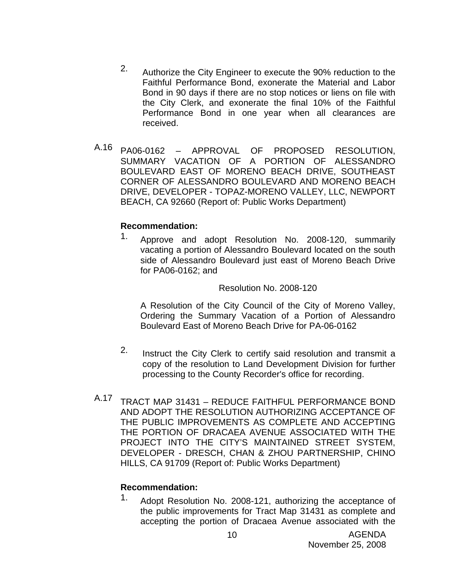- 2. Authorize the City Engineer to execute the 90% reduction to the Faithful Performance Bond, exonerate the Material and Labor Bond in 90 days if there are no stop notices or liens on file with the City Clerk, and exonerate the final 10% of the Faithful Performance Bond in one year when all clearances are received.
- A.16 PA06-0162 APPROVAL OF PROPOSED RESOLUTION, SUMMARY VACATION OF A PORTION OF ALESSANDRO BOULEVARD EAST OF MORENO BEACH DRIVE, SOUTHEAST CORNER OF ALESSANDRO BOULEVARD AND MORENO BEACH DRIVE, DEVELOPER - TOPAZ-MORENO VALLEY, LLC, NEWPORT BEACH, CA 92660 (Report of: Public Works Department)

# **Recommendation:**

1. Approve and adopt Resolution No. 2008-120, summarily vacating a portion of Alessandro Boulevard located on the south side of Alessandro Boulevard just east of Moreno Beach Drive for PA06-0162; and

# Resolution No. 2008-120

A Resolution of the City Council of the City of Moreno Valley, Ordering the Summary Vacation of a Portion of Alessandro Boulevard East of Moreno Beach Drive for PA-06-0162

- 2. Instruct the City Clerk to certify said resolution and transmit a copy of the resolution to Land Development Division for further processing to the County Recorder's office for recording.
- A.17 TRACT MAP 31431 REDUCE FAITHFUL PERFORMANCE BOND AND ADOPT THE RESOLUTION AUTHORIZING ACCEPTANCE OF THE PUBLIC IMPROVEMENTS AS COMPLETE AND ACCEPTING THE PORTION OF DRACAEA AVENUE ASSOCIATED WITH THE PROJECT INTO THE CITY'S MAINTAINED STREET SYSTEM, DEVELOPER - DRESCH, CHAN & ZHOU PARTNERSHIP, CHINO HILLS, CA 91709 (Report of: Public Works Department)

# **Recommendation:**

1. Adopt Resolution No. 2008-121, authorizing the acceptance of the public improvements for Tract Map 31431 as complete and accepting the portion of Dracaea Avenue associated with the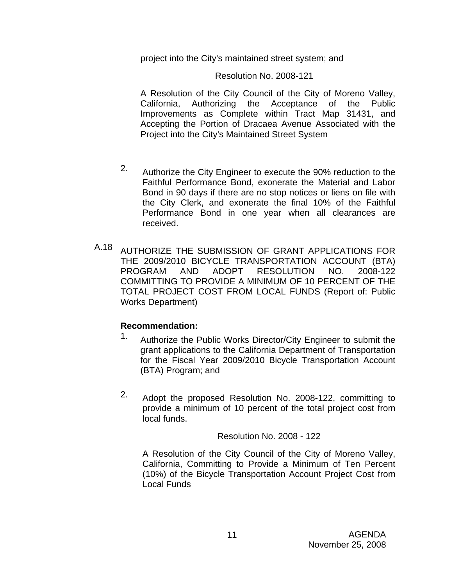project into the City's maintained street system; and

# Resolution No. 2008-121

A Resolution of the City Council of the City of Moreno Valley, California, Authorizing the Acceptance of the Public Improvements as Complete within Tract Map 31431, and Accepting the Portion of Dracaea Avenue Associated with the Project into the City's Maintained Street System

- 2. Authorize the City Engineer to execute the 90% reduction to the Faithful Performance Bond, exonerate the Material and Labor Bond in 90 days if there are no stop notices or liens on file with the City Clerk, and exonerate the final 10% of the Faithful Performance Bond in one year when all clearances are received.
- A.18 AUTHORIZE THE SUBMISSION OF GRANT APPLICATIONS FOR THE 2009/2010 BICYCLE TRANSPORTATION ACCOUNT (BTA) PROGRAM AND ADOPT RESOLUTION NO. 2008-122 COMMITTING TO PROVIDE A MINIMUM OF 10 PERCENT OF THE TOTAL PROJECT COST FROM LOCAL FUNDS (Report of: Public Works Department)

# **Recommendation:**

- 1. Authorize the Public Works Director/City Engineer to submit the grant applications to the California Department of Transportation for the Fiscal Year 2009/2010 Bicycle Transportation Account (BTA) Program; and
- 2. Adopt the proposed Resolution No. 2008-122, committing to provide a minimum of 10 percent of the total project cost from local funds.

Resolution No. 2008 - 122

A Resolution of the City Council of the City of Moreno Valley, California, Committing to Provide a Minimum of Ten Percent (10%) of the Bicycle Transportation Account Project Cost from Local Funds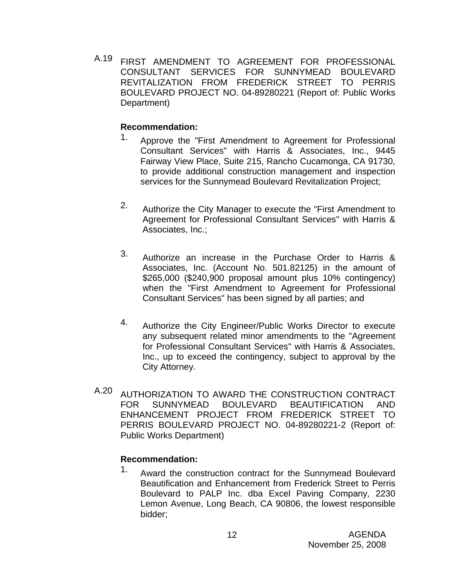A.19 FIRST AMENDMENT TO AGREEMENT FOR PROFESSIONAL CONSULTANT SERVICES FOR SUNNYMEAD BOULEVARD REVITALIZATION FROM FREDERICK STREET TO PERRIS BOULEVARD PROJECT NO. 04-89280221 (Report of: Public Works Department)

# **Recommendation:**

- 1. Approve the "First Amendment to Agreement for Professional Consultant Services" with Harris & Associates, Inc., 9445 Fairway View Place, Suite 215, Rancho Cucamonga, CA 91730, to provide additional construction management and inspection services for the Sunnymead Boulevard Revitalization Project;
- 2. Authorize the City Manager to execute the "First Amendment to Agreement for Professional Consultant Services" with Harris & Associates, Inc.;
- 3. Authorize an increase in the Purchase Order to Harris & Associates, Inc. (Account No. 501.82125) in the amount of \$265,000 (\$240,900 proposal amount plus 10% contingency) when the "First Amendment to Agreement for Professional Consultant Services" has been signed by all parties; and
- 4. Authorize the City Engineer/Public Works Director to execute any subsequent related minor amendments to the "Agreement for Professional Consultant Services" with Harris & Associates, Inc., up to exceed the contingency, subject to approval by the City Attorney.
- A.20 AUTHORIZATION TO AWARD THE CONSTRUCTION CONTRACT FOR SUNNYMEAD BOULEVARD BEAUTIFICATION AND ENHANCEMENT PROJECT FROM FREDERICK STREET TO PERRIS BOULEVARD PROJECT NO. 04-89280221-2 (Report of: Public Works Department)

# **Recommendation:**

<sup>1.</sup> Award the construction contract for the Sunnymead Boulevard Beautification and Enhancement from Frederick Street to Perris Boulevard to PALP Inc. dba Excel Paving Company, 2230 Lemon Avenue, Long Beach, CA 90806, the lowest responsible bidder;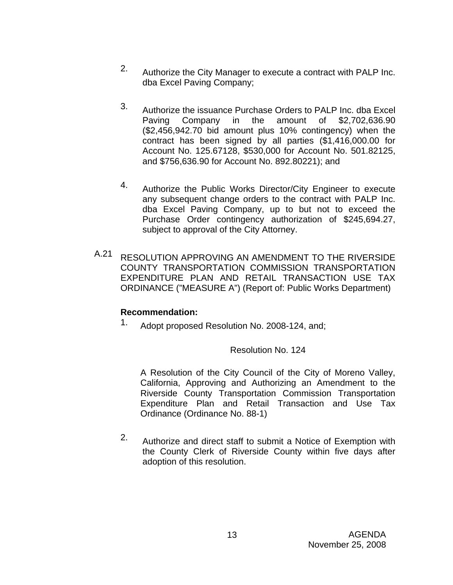- 2. Authorize the City Manager to execute a contract with PALP Inc. dba Excel Paving Company;
- 3. Authorize the issuance Purchase Orders to PALP Inc. dba Excel Paving Company in the amount of \$2,702,636.90 (\$2,456,942.70 bid amount plus 10% contingency) when the contract has been signed by all parties (\$1,416,000.00 for Account No. 125.67128, \$530,000 for Account No. 501.82125, and \$756,636.90 for Account No. 892.80221); and
- 4. Authorize the Public Works Director/City Engineer to execute any subsequent change orders to the contract with PALP Inc. dba Excel Paving Company, up to but not to exceed the Purchase Order contingency authorization of \$245,694.27, subject to approval of the City Attorney.
- A.21 RESOLUTION APPROVING AN AMENDMENT TO THE RIVERSIDE COUNTY TRANSPORTATION COMMISSION TRANSPORTATION EXPENDITURE PLAN AND RETAIL TRANSACTION USE TAX ORDINANCE ("MEASURE A") (Report of: Public Works Department)

# **Recommendation:**

1. Adopt proposed Resolution No. 2008-124, and;

Resolution No. 124

A Resolution of the City Council of the City of Moreno Valley, California, Approving and Authorizing an Amendment to the Riverside County Transportation Commission Transportation Expenditure Plan and Retail Transaction and Use Tax Ordinance (Ordinance No. 88-1)

2. Authorize and direct staff to submit a Notice of Exemption with the County Clerk of Riverside County within five days after adoption of this resolution.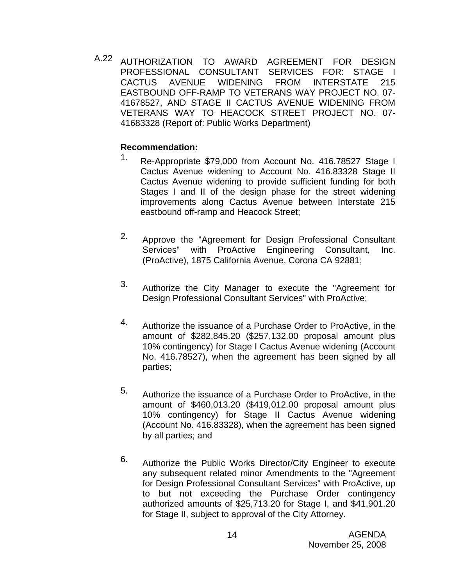A.22 AUTHORIZATION TO AWARD AGREEMENT FOR DESIGN PROFESSIONAL CONSULTANT SERVICES FOR: STAGE I CACTUS AVENUE WIDENING FROM INTERSTATE 215 EASTBOUND OFF-RAMP TO VETERANS WAY PROJECT NO. 07- 41678527, AND STAGE II CACTUS AVENUE WIDENING FROM VETERANS WAY TO HEACOCK STREET PROJECT NO. 07- 41683328 (Report of: Public Works Department)

### **Recommendation:**

- 1. Re-Appropriate \$79,000 from Account No. 416.78527 Stage I Cactus Avenue widening to Account No. 416.83328 Stage II Cactus Avenue widening to provide sufficient funding for both Stages I and II of the design phase for the street widening improvements along Cactus Avenue between Interstate 215 eastbound off-ramp and Heacock Street;
- 2. Approve the "Agreement for Design Professional Consultant Services" with ProActive Engineering Consultant, Inc. (ProActive), 1875 California Avenue, Corona CA 92881;
- 3. Authorize the City Manager to execute the "Agreement for Design Professional Consultant Services" with ProActive;
- 4. Authorize the issuance of a Purchase Order to ProActive, in the amount of \$282,845.20 (\$257,132.00 proposal amount plus 10% contingency) for Stage I Cactus Avenue widening (Account No. 416.78527), when the agreement has been signed by all parties;
- 5. Authorize the issuance of a Purchase Order to ProActive, in the amount of \$460,013.20 (\$419,012.00 proposal amount plus 10% contingency) for Stage II Cactus Avenue widening (Account No. 416.83328), when the agreement has been signed by all parties; and
- 6. Authorize the Public Works Director/City Engineer to execute any subsequent related minor Amendments to the "Agreement for Design Professional Consultant Services" with ProActive, up to but not exceeding the Purchase Order contingency authorized amounts of \$25,713.20 for Stage I, and \$41,901.20 for Stage II, subject to approval of the City Attorney.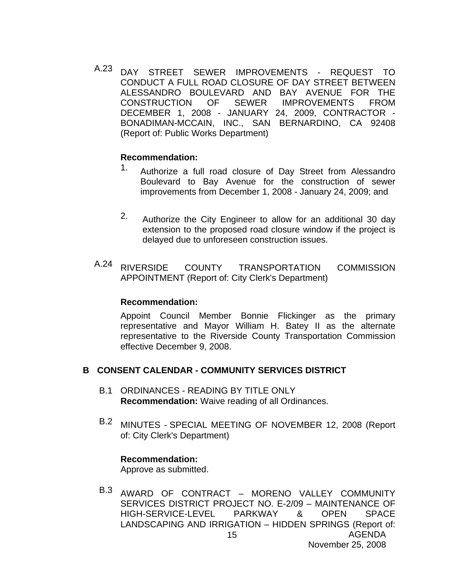A.23 DAY STREET SEWER IMPROVEMENTS - REQUEST TO CONDUCT A FULL ROAD CLOSURE OF DAY STREET BETWEEN ALESSANDRO BOULEVARD AND BAY AVENUE FOR THE CONSTRUCTION OF SEWER IMPROVEMENTS FROM DECEMBER 1, 2008 - JANUARY 24, 2009, CONTRACTOR - BONADIMAN-MCCAIN, INC., SAN BERNARDINO, CA 92408 (Report of: Public Works Department)

### **Recommendation:**

- 1. Authorize a full road closure of Day Street from Alessandro Boulevard to Bay Avenue for the construction of sewer improvements from December 1, 2008 - January 24, 2009; and
- 2. Authorize the City Engineer to allow for an additional 30 day extension to the proposed road closure window if the project is delayed due to unforeseen construction issues.
- A.24 RIVERSIDE COUNTY TRANSPORTATION COMMISSION APPOINTMENT (Report of: City Clerk's Department)

#### **Recommendation:**

Appoint Council Member Bonnie Flickinger as the primary representative and Mayor William H. Batey II as the alternate representative to the Riverside County Transportation Commission effective December 9, 2008.

# **B CONSENT CALENDAR - COMMUNITY SERVICES DISTRICT**

- B.1 ORDINANCES READING BY TITLE ONLY **Recommendation:** Waive reading of all Ordinances.
- B.2 MINUTES SPECIAL MEETING OF NOVEMBER 12, 2008 (Report of: City Clerk's Department)

#### **Recommendation:**

Approve as submitted.

AGENDA 15 B.3 AWARD OF CONTRACT – MORENO VALLEY COMMUNITY SERVICES DISTRICT PROJECT NO. E-2/09 – MAINTENANCE OF HIGH-SERVICE-LEVEL PARKWAY & OPEN SPACE LANDSCAPING AND IRRIGATION – HIDDEN SPRINGS (Report of: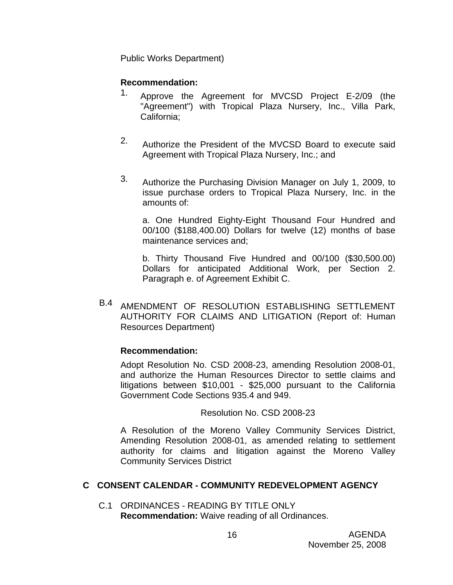Public Works Department)

# **Recommendation:**

- 1. Approve the Agreement for MVCSD Project E-2/09 (the "Agreement") with Tropical Plaza Nursery, Inc., Villa Park, California;
- 2. Authorize the President of the MVCSD Board to execute said Agreement with Tropical Plaza Nursery, Inc.; and
- 3. Authorize the Purchasing Division Manager on July 1, 2009, to issue purchase orders to Tropical Plaza Nursery, Inc. in the amounts of:

a. One Hundred Eighty-Eight Thousand Four Hundred and 00/100 (\$188,400.00) Dollars for twelve (12) months of base maintenance services and;

b. Thirty Thousand Five Hundred and 00/100 (\$30,500.00) Dollars for anticipated Additional Work, per Section 2. Paragraph e. of Agreement Exhibit C.

B.4 AMENDMENT OF RESOLUTION ESTABLISHING SETTLEMENT AUTHORITY FOR CLAIMS AND LITIGATION (Report of: Human Resources Department)

# **Recommendation:**

Adopt Resolution No. CSD 2008-23, amending Resolution 2008-01, and authorize the Human Resources Director to settle claims and litigations between \$10,001 - \$25,000 pursuant to the California Government Code Sections 935.4 and 949.

Resolution No. CSD 2008-23

A Resolution of the Moreno Valley Community Services District, Amending Resolution 2008-01, as amended relating to settlement authority for claims and litigation against the Moreno Valley Community Services District

# **C CONSENT CALENDAR - COMMUNITY REDEVELOPMENT AGENCY**

C.1 ORDINANCES - READING BY TITLE ONLY **Recommendation:** Waive reading of all Ordinances.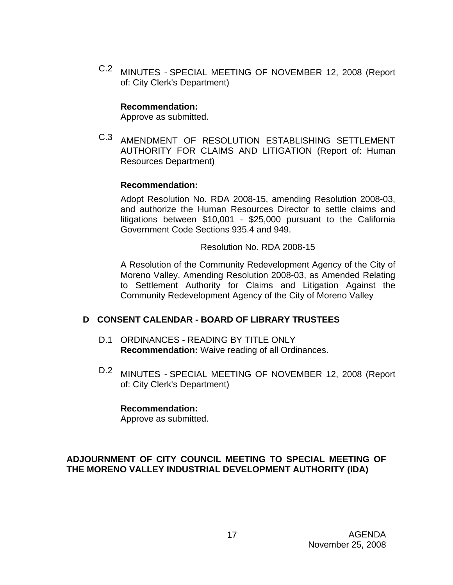C.2 MINUTES - SPECIAL MEETING OF NOVEMBER 12, 2008 (Report of: City Clerk's Department)

# **Recommendation:**

Approve as submitted.

C.3 AMENDMENT OF RESOLUTION ESTABLISHING SETTLEMENT AUTHORITY FOR CLAIMS AND LITIGATION (Report of: Human Resources Department)

# **Recommendation:**

Adopt Resolution No. RDA 2008-15, amending Resolution 2008-03, and authorize the Human Resources Director to settle claims and litigations between \$10,001 - \$25,000 pursuant to the California Government Code Sections 935.4 and 949.

Resolution No. RDA 2008-15

A Resolution of the Community Redevelopment Agency of the City of Moreno Valley, Amending Resolution 2008-03, as Amended Relating to Settlement Authority for Claims and Litigation Against the Community Redevelopment Agency of the City of Moreno Valley

# **D CONSENT CALENDAR - BOARD OF LIBRARY TRUSTEES**

- D.1 ORDINANCES READING BY TITLE ONLY **Recommendation:** Waive reading of all Ordinances.
- D.2 MINUTES SPECIAL MEETING OF NOVEMBER 12, 2008 (Report of: City Clerk's Department)

# **Recommendation:**

Approve as submitted.

# **ADJOURNMENT OF CITY COUNCIL MEETING TO SPECIAL MEETING OF THE MORENO VALLEY INDUSTRIAL DEVELOPMENT AUTHORITY (IDA)**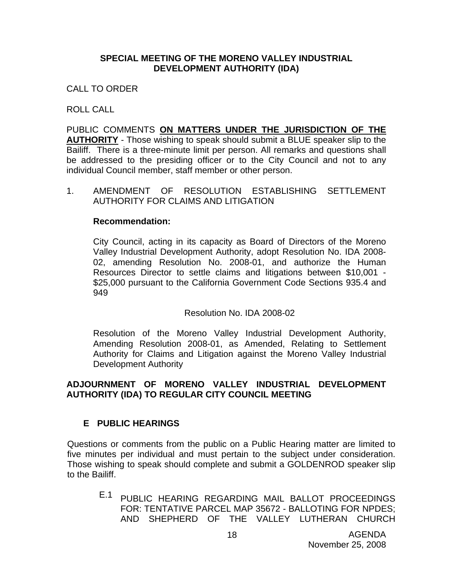# **SPECIAL MEETING OF THE MORENO VALLEY INDUSTRIAL DEVELOPMENT AUTHORITY (IDA)**

CALL TO ORDER

ROLL CALL

PUBLIC COMMENTS **ON MATTERS UNDER THE JURISDICTION OF THE AUTHORITY** - Those wishing to speak should submit a BLUE speaker slip to the Bailiff. There is a three-minute limit per person. All remarks and questions shall be addressed to the presiding officer or to the City Council and not to any individual Council member, staff member or other person.

1. AMENDMENT OF RESOLUTION ESTABLISHING SETTLEMENT AUTHORITY FOR CLAIMS AND LITIGATION

### **Recommendation:**

City Council, acting in its capacity as Board of Directors of the Moreno Valley Industrial Development Authority, adopt Resolution No. IDA 2008- 02, amending Resolution No. 2008-01, and authorize the Human Resources Director to settle claims and litigations between \$10,001 - \$25,000 pursuant to the California Government Code Sections 935.4 and 949

Resolution No. IDA 2008-02

Resolution of the Moreno Valley Industrial Development Authority, Amending Resolution 2008-01, as Amended, Relating to Settlement Authority for Claims and Litigation against the Moreno Valley Industrial Development Authority

# **ADJOURNMENT OF MORENO VALLEY INDUSTRIAL DEVELOPMENT AUTHORITY (IDA) TO REGULAR CITY COUNCIL MEETING**

# **E PUBLIC HEARINGS**

Questions or comments from the public on a Public Hearing matter are limited to five minutes per individual and must pertain to the subject under consideration. Those wishing to speak should complete and submit a GOLDENROD speaker slip to the Bailiff.

E.1 PUBLIC HEARING REGARDING MAIL BALLOT PROCEEDINGS FOR: TENTATIVE PARCEL MAP 35672 - BALLOTING FOR NPDES; AND SHEPHERD OF THE VALLEY LUTHERAN CHURCH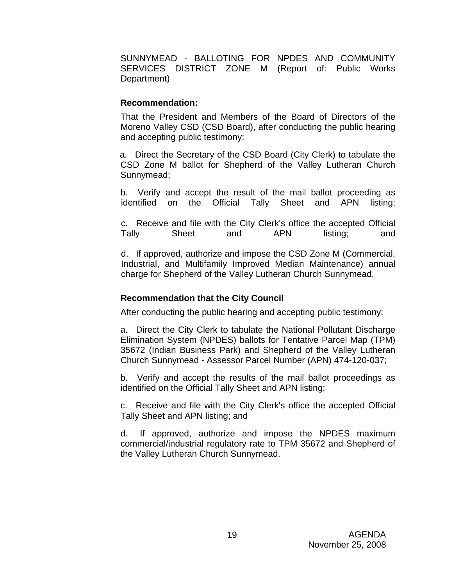SUNNYMEAD - BALLOTING FOR NPDES AND COMMUNITY SERVICES DISTRICT ZONE M (Report of: Public Works Department)

# **Recommendation:**

That the President and Members of the Board of Directors of the Moreno Valley CSD (CSD Board), after conducting the public hearing and accepting public testimony:

a. Direct the Secretary of the CSD Board (City Clerk) to tabulate the CSD Zone M ballot for Shepherd of the Valley Lutheran Church Sunnymead;

b. Verify and accept the result of the mail ballot proceeding as identified on the Official Tally Sheet and APN listing;

c. Receive and file with the City Clerk's office the accepted Official Tally Sheet and APN listing; and

d. If approved, authorize and impose the CSD Zone M (Commercial, Industrial, and Multifamily Improved Median Maintenance) annual charge for Shepherd of the Valley Lutheran Church Sunnymead.

# **Recommendation that the City Council**

After conducting the public hearing and accepting public testimony:

a. Direct the City Clerk to tabulate the National Pollutant Discharge Elimination System (NPDES) ballots for Tentative Parcel Map (TPM) 35672 (Indian Business Park) and Shepherd of the Valley Lutheran Church Sunnymead - Assessor Parcel Number (APN) 474-120-037;

b. Verify and accept the results of the mail ballot proceedings as identified on the Official Tally Sheet and APN listing;

c. Receive and file with the City Clerk's office the accepted Official Tally Sheet and APN listing; and

d. If approved, authorize and impose the NPDES maximum commercial/industrial regulatory rate to TPM 35672 and Shepherd of the Valley Lutheran Church Sunnymead.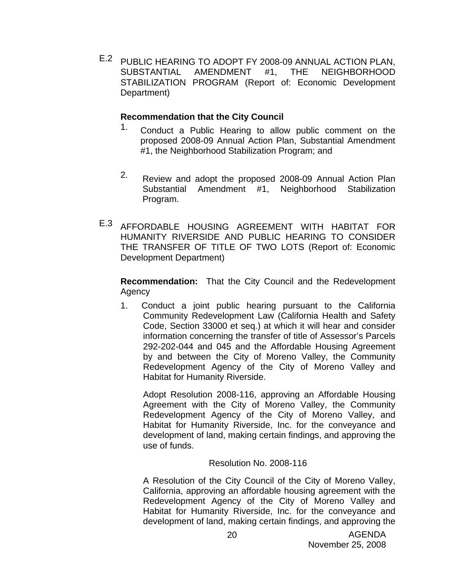E.2 PUBLIC HEARING TO ADOPT FY 2008-09 ANNUAL ACTION PLAN, SUBSTANTIAL AMENDMENT #1, THE NEIGHBORHOOD STABILIZATION PROGRAM (Report of: Economic Development Department)

### **Recommendation that the City Council**

- <sup>1.</sup> Conduct a Public Hearing to allow public comment on the proposed 2008-09 Annual Action Plan, Substantial Amendment #1, the Neighborhood Stabilization Program; and
- 2. Review and adopt the proposed 2008-09 Annual Action Plan Substantial Amendment #1, Neighborhood Stabilization Program.
- E.3 AFFORDABLE HOUSING AGREEMENT WITH HABITAT FOR HUMANITY RIVERSIDE AND PUBLIC HEARING TO CONSIDER THE TRANSFER OF TITLE OF TWO LOTS (Report of: Economic Development Department)

**Recommendation:** That the City Council and the Redevelopment Agency

1. Conduct a joint public hearing pursuant to the California Community Redevelopment Law (California Health and Safety Code, Section 33000 et seq.) at which it will hear and consider information concerning the transfer of title of Assessor's Parcels 292-202-044 and 045 and the Affordable Housing Agreement by and between the City of Moreno Valley, the Community Redevelopment Agency of the City of Moreno Valley and Habitat for Humanity Riverside.

Adopt Resolution 2008-116, approving an Affordable Housing Agreement with the City of Moreno Valley, the Community Redevelopment Agency of the City of Moreno Valley, and Habitat for Humanity Riverside, Inc. for the conveyance and development of land, making certain findings, and approving the use of funds.

# Resolution No. 2008-116

A Resolution of the City Council of the City of Moreno Valley, California, approving an affordable housing agreement with the Redevelopment Agency of the City of Moreno Valley and Habitat for Humanity Riverside, Inc. for the conveyance and development of land, making certain findings, and approving the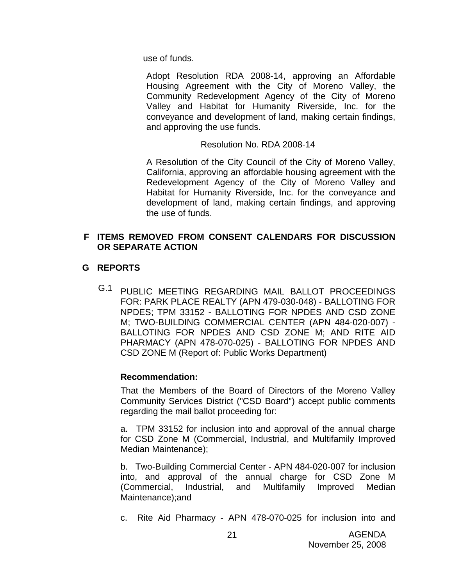use of funds.

Adopt Resolution RDA 2008-14, approving an Affordable Housing Agreement with the City of Moreno Valley, the Community Redevelopment Agency of the City of Moreno Valley and Habitat for Humanity Riverside, Inc. for the conveyance and development of land, making certain findings, and approving the use funds.

Resolution No. RDA 2008-14

A Resolution of the City Council of the City of Moreno Valley, California, approving an affordable housing agreement with the Redevelopment Agency of the City of Moreno Valley and Habitat for Humanity Riverside, Inc. for the conveyance and development of land, making certain findings, and approving the use of funds.

# **F ITEMS REMOVED FROM CONSENT CALENDARS FOR DISCUSSION OR SEPARATE ACTION**

# **G REPORTS**

G.1 PUBLIC MEETING REGARDING MAIL BALLOT PROCEEDINGS FOR: PARK PLACE REALTY (APN 479-030-048) - BALLOTING FOR NPDES; TPM 33152 - BALLOTING FOR NPDES AND CSD ZONE M; TWO-BUILDING COMMERCIAL CENTER (APN 484-020-007) - BALLOTING FOR NPDES AND CSD ZONE M; AND RITE AID PHARMACY (APN 478-070-025) - BALLOTING FOR NPDES AND CSD ZONE M (Report of: Public Works Department)

# **Recommendation:**

That the Members of the Board of Directors of the Moreno Valley Community Services District ("CSD Board") accept public comments regarding the mail ballot proceeding for:

a. TPM 33152 for inclusion into and approval of the annual charge for CSD Zone M (Commercial, Industrial, and Multifamily Improved Median Maintenance);

b. Two-Building Commercial Center - APN 484-020-007 for inclusion into, and approval of the annual charge for CSD Zone M (Commercial, Industrial, and Multifamily Improved Median Maintenance);and

c. Rite Aid Pharmacy - APN 478-070-025 for inclusion into and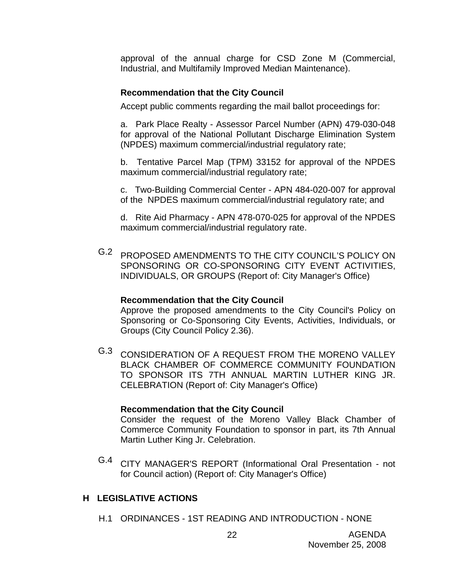approval of the annual charge for CSD Zone M (Commercial, Industrial, and Multifamily Improved Median Maintenance).

# **Recommendation that the City Council**

Accept public comments regarding the mail ballot proceedings for:

a. Park Place Realty - Assessor Parcel Number (APN) 479-030-048 for approval of the National Pollutant Discharge Elimination System (NPDES) maximum commercial/industrial regulatory rate;

b. Tentative Parcel Map (TPM) 33152 for approval of the NPDES maximum commercial/industrial regulatory rate;

c. Two-Building Commercial Center - APN 484-020-007 for approval of the NPDES maximum commercial/industrial regulatory rate; and

d. Rite Aid Pharmacy - APN 478-070-025 for approval of the NPDES maximum commercial/industrial regulatory rate.

G.2 PROPOSED AMENDMENTS TO THE CITY COUNCIL'S POLICY ON SPONSORING OR CO-SPONSORING CITY EVENT ACTIVITIES, INDIVIDUALS, OR GROUPS (Report of: City Manager's Office)

#### **Recommendation that the City Council**

Approve the proposed amendments to the City Council's Policy on Sponsoring or Co-Sponsoring City Events, Activities, Individuals, or Groups (City Council Policy 2.36).

G.3 CONSIDERATION OF A REQUEST FROM THE MORENO VALLEY BLACK CHAMBER OF COMMERCE COMMUNITY FOUNDATION TO SPONSOR ITS 7TH ANNUAL MARTIN LUTHER KING JR. CELEBRATION (Report of: City Manager's Office)

# **Recommendation that the City Council**

Consider the request of the Moreno Valley Black Chamber of Commerce Community Foundation to sponsor in part, its 7th Annual Martin Luther King Jr. Celebration.

G.4 CITY MANAGER'S REPORT (Informational Oral Presentation - not for Council action) (Report of: City Manager's Office)

# **H LEGISLATIVE ACTIONS**

H.1 ORDINANCES - 1ST READING AND INTRODUCTION - NONE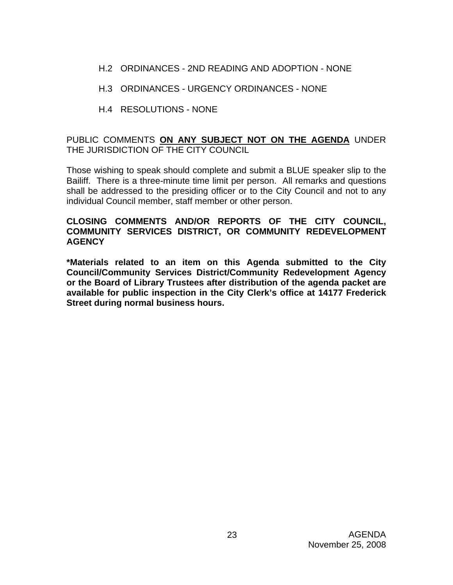- H.2 ORDINANCES 2ND READING AND ADOPTION NONE
- H.3 ORDINANCES URGENCY ORDINANCES NONE
- H.4 RESOLUTIONS NONE

# PUBLIC COMMENTS **ON ANY SUBJECT NOT ON THE AGENDA** UNDER THE JURISDICTION OF THE CITY COUNCIL

Those wishing to speak should complete and submit a BLUE speaker slip to the Bailiff. There is a three-minute time limit per person. All remarks and questions shall be addressed to the presiding officer or to the City Council and not to any individual Council member, staff member or other person.

# **CLOSING COMMENTS AND/OR REPORTS OF THE CITY COUNCIL, COMMUNITY SERVICES DISTRICT, OR COMMUNITY REDEVELOPMENT AGENCY**

**\*Materials related to an item on this Agenda submitted to the City Council/Community Services District/Community Redevelopment Agency or the Board of Library Trustees after distribution of the agenda packet are available for public inspection in the City Clerk's office at 14177 Frederick Street during normal business hours.**